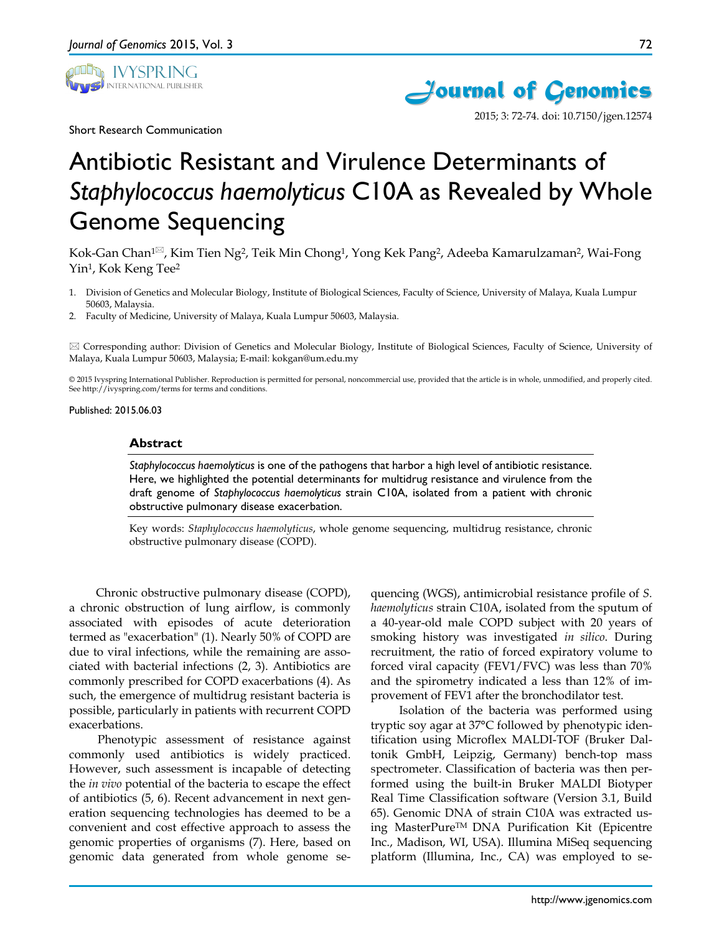

Short Research Communication



2015; 3: 72-74. doi: 10.7150/jgen.12574

# Antibiotic Resistant and Virulence Determinants of *Staphylococcus haemolyticus* C10A as Revealed by Whole Genome Sequencing

Kok-Gan Chan<sup>1<sup> $\boxtimes$ </sup>, Kim Tien Ng<sup>2</sup>, Teik Min Chong<sup>1</sup>, Yong Kek Pang<sup>2</sup>, Adeeba Kamarulzaman<sup>2</sup>, Wai-Fong</sup> Yin1, Kok Keng Tee2

- 1. Division of Genetics and Molecular Biology, Institute of Biological Sciences, Faculty of Science, University of Malaya, Kuala Lumpur 50603, Malaysia.
- 2. Faculty of Medicine, University of Malaya, Kuala Lumpur 50603, Malaysia.

 Corresponding author: Division of Genetics and Molecular Biology, Institute of Biological Sciences, Faculty of Science, University of Malaya, Kuala Lumpur 50603, Malaysia; E-mail: kokgan@um.edu.my

© 2015 Ivyspring International Publisher. Reproduction is permitted for personal, noncommercial use, provided that the article is in whole, unmodified, and properly cited. See http://ivyspring.com/terms for terms and conditions.

Published: 2015.06.03

#### **Abstract**

*Staphylococcus haemolyticus* is one of the pathogens that harbor a high level of antibiotic resistance. Here, we highlighted the potential determinants for multidrug resistance and virulence from the draft genome of *Staphylococcus haemolyticus* strain C10A, isolated from a patient with chronic obstructive pulmonary disease exacerbation.

Key words: *Staphylococcus haemolyticus*, whole genome sequencing, multidrug resistance, chronic obstructive pulmonary disease (COPD).

Chronic obstructive pulmonary disease (COPD), a chronic obstruction of lung airflow, is commonly associated with episodes of acute deterioration termed as "exacerbation" (1). Nearly 50% of COPD are due to viral infections, while the remaining are associated with bacterial infections (2, 3). Antibiotics are commonly prescribed for COPD exacerbations (4). As such, the emergence of multidrug resistant bacteria is possible, particularly in patients with recurrent COPD exacerbations.

Phenotypic assessment of resistance against commonly used antibiotics is widely practiced. However, such assessment is incapable of detecting the *in vivo* potential of the bacteria to escape the effect of antibiotics (5, 6). Recent advancement in next generation sequencing technologies has deemed to be a convenient and cost effective approach to assess the genomic properties of organisms (7). Here, based on genomic data generated from whole genome sequencing (WGS), antimicrobial resistance profile of *S. haemolyticus* strain C10A, isolated from the sputum of a 40-year-old male COPD subject with 20 years of smoking history was investigated *in silico*. During recruitment, the ratio of forced expiratory volume to forced viral capacity (FEV1/FVC) was less than 70% and the spirometry indicated a less than 12% of improvement of FEV1 after the bronchodilator test.

Isolation of the bacteria was performed using tryptic soy agar at 37°C followed by phenotypic identification using Microflex MALDI-TOF (Bruker Daltonik GmbH, Leipzig, Germany) bench-top mass spectrometer. Classification of bacteria was then performed using the built-in Bruker MALDI Biotyper Real Time Classification software (Version 3.1, Build 65). Genomic DNA of strain C10A was extracted using MasterPureTM DNA Purification Kit (Epicentre Inc., Madison, WI, USA). Illumina MiSeq sequencing platform (Illumina, Inc., CA) was employed to se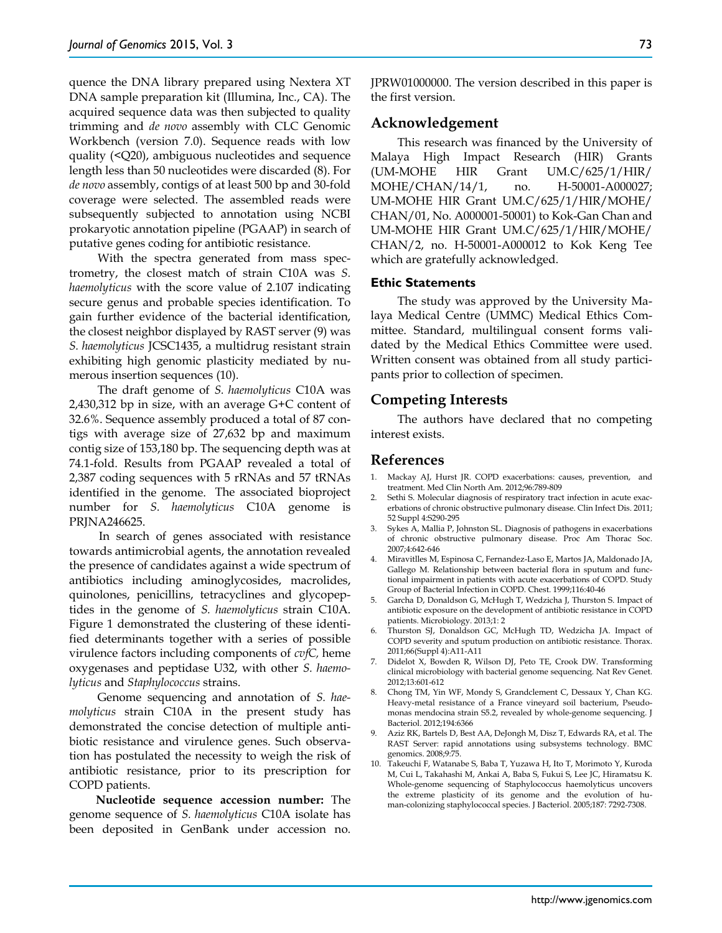quence the DNA library prepared using Nextera XT DNA sample preparation kit (Illumina, Inc., CA). The acquired sequence data was then subjected to quality trimming and *de novo* assembly with CLC Genomic Workbench (version 7.0). Sequence reads with low quality (<Q20), ambiguous nucleotides and sequence length less than 50 nucleotides were discarded (8). For *de novo* assembly, contigs of at least 500 bp and 30-fold coverage were selected. The assembled reads were subsequently subjected to annotation using NCBI prokaryotic annotation pipeline (PGAAP) in search of putative genes coding for antibiotic resistance.

With the spectra generated from mass spectrometry, the closest match of strain C10A was *S. haemolyticus* with the score value of 2.107 indicating secure genus and probable species identification. To gain further evidence of the bacterial identification, the closest neighbor displayed by RAST server (9) was *S. haemolyticus* JCSC1435, a multidrug resistant strain exhibiting high genomic plasticity mediated by numerous insertion sequences (10).

The draft genome of *S. haemolyticus* C10A was 2,430,312 bp in size, with an average G+C content of 32.6%. Sequence assembly produced a total of 87 contigs with average size of 27,632 bp and maximum contig size of 153,180 bp. The sequencing depth was at 74.1-fold. Results from PGAAP revealed a total of 2,387 coding sequences with 5 rRNAs and 57 tRNAs identified in the genome. The associated bioproject number for *S. haemolyticus* C10A genome is PRJNA246625.

In search of genes associated with resistance towards antimicrobial agents, the annotation revealed the presence of candidates against a wide spectrum of antibiotics including aminoglycosides, macrolides, quinolones, penicillins, tetracyclines and glycopeptides in the genome of *S. haemolyticus* strain C10A. Figure 1 demonstrated the clustering of these identified determinants together with a series of possible virulence factors including components of *cvfC,* heme oxygenases and peptidase U32, with other *S. haemolyticus* and *Staphylococcus* strains.

Genome sequencing and annotation of *S. haemolyticus* strain C10A in the present study has demonstrated the concise detection of multiple antibiotic resistance and virulence genes. Such observation has postulated the necessity to weigh the risk of antibiotic resistance, prior to its prescription for COPD patients.

**Nucleotide sequence accession number:** The genome sequence of *S. haemolyticus* C10A isolate has been deposited in GenBank under accession no.

JPRW01000000. The version described in this paper is the first version.

### **Acknowledgement**

This research was financed by the University of Malaya High Impact Research (HIR) Grants (UM-MOHE HIR Grant UM.C/625/1/HIR/ MOHE/CHAN/14/1, no. H-50001-A000027; UM-MOHE HIR Grant UM.C/625/1/HIR/MOHE/ CHAN/01, No. A000001-50001) to Kok-Gan Chan and UM-MOHE HIR Grant UM.C/625/1/HIR/MOHE/ CHAN/2, no. H-50001-A000012 to Kok Keng Tee which are gratefully acknowledged.

#### **Ethic Statements**

The study was approved by the University Malaya Medical Centre (UMMC) Medical Ethics Committee. Standard, multilingual consent forms validated by the Medical Ethics Committee were used. Written consent was obtained from all study participants prior to collection of specimen.

#### **Competing Interests**

The authors have declared that no competing interest exists.

## **References**

- 1. Mackay AJ, Hurst JR. COPD exacerbations: causes, prevention, and treatment. Med Clin North Am. 2012;96:789-809
- 2. Sethi S. Molecular diagnosis of respiratory tract infection in acute exacerbations of chronic obstructive pulmonary disease. Clin Infect Dis. 2011; 52 Suppl 4:S290-295
- 3. Sykes A, Mallia P, Johnston SL. Diagnosis of pathogens in exacerbations of chronic obstructive pulmonary disease. Proc Am Thorac Soc. 2007;4:642-646
- 4. Miravitlles M, Espinosa C, Fernandez-Laso E, Martos JA, Maldonado JA, Gallego M. Relationship between bacterial flora in sputum and functional impairment in patients with acute exacerbations of COPD. Study Group of Bacterial Infection in COPD. Chest. 1999;116:40-46
- 5. Garcha D, Donaldson G, McHugh T, Wedzicha J, Thurston S. Impact of antibiotic exposure on the development of antibiotic resistance in COPD patients. Microbiology. 2013;1: 2
- 6. Thurston SJ, Donaldson GC, McHugh TD, Wedzicha JA. Impact of COPD severity and sputum production on antibiotic resistance. Thorax. 2011;66(Suppl 4):A11-A11
- 7. Didelot X, Bowden R, Wilson DJ, Peto TE, Crook DW. Transforming clinical microbiology with bacterial genome sequencing. Nat Rev Genet. 2012;13:601-612
- 8. Chong TM, Yin WF, Mondy S, Grandclement C, Dessaux Y, Chan KG. Heavy-metal resistance of a France vineyard soil bacterium, Pseudomonas mendocina strain S5.2, revealed by whole-genome sequencing. J Bacteriol. 2012;194:6366
- 9. Aziz RK, Bartels D, Best AA, DeJongh M, Disz T, Edwards RA, et al. The RAST Server: rapid annotations using subsystems technology. BMC genomics. 2008;9:75.
- 10. Takeuchi F, Watanabe S, Baba T, Yuzawa H, Ito T, Morimoto Y, Kuroda M, Cui L, Takahashi M, Ankai A, Baba S, Fukui S, Lee JC, Hiramatsu K. Whole-genome sequencing of Staphylococcus haemolyticus uncovers the extreme plasticity of its genome and the evolution of human-colonizing staphylococcal species. J Bacteriol. 2005;187: 7292-7308.